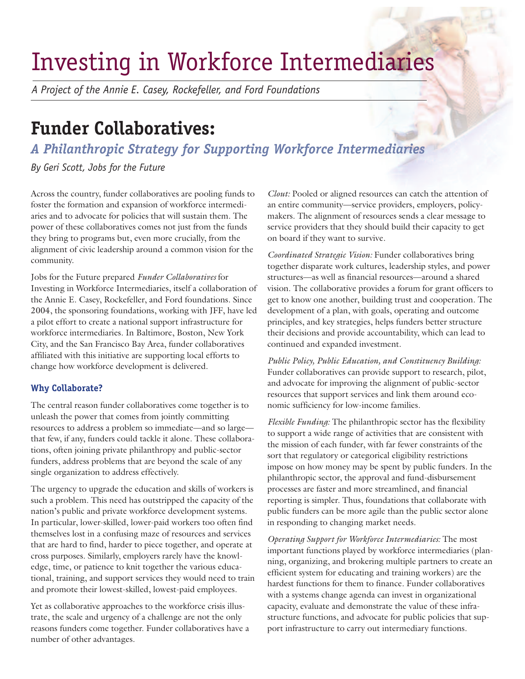# Investing in Workforce Intermediaries

*A Project of the Annie E. Casey, Rockefeller, and Ford Foundations*

## **Funder Collaboratives:**

### *A Philanthropic Strategy for Supporting Workforce Intermediaries*

*By Geri Scott, Jobs for the Future*

Across the country, funder collaboratives are pooling funds to foster the formation and expansion of workforce intermediaries and to advocate for policies that will sustain them. The power of these collaboratives comes not just from the funds they bring to programs but, even more crucially, from the alignment of civic leadership around a common vision for the community.

Jobs for the Future prepared *Funder Collaboratives* for Investing in Workforce Intermediaries, itself a collaboration of the Annie E. Casey, Rockefeller, and Ford foundations. Since 2004, the sponsoring foundations, working with JFF, have led a pilot effort to create a national support infrastructure for workforce intermediaries. In Baltimore, Boston, New York City, and the San Francisco Bay Area, funder collaboratives affiliated with this initiative are supporting local efforts to change how workforce development is delivered.

#### **Why Collaborate?**

The central reason funder collaboratives come together is to unleash the power that comes from jointly committing resources to address a problem so immediate—and so large that few, if any, funders could tackle it alone. These collaborations, often joining private philanthropy and public-sector funders, address problems that are beyond the scale of any single organization to address effectively.

The urgency to upgrade the education and skills of workers is such a problem. This need has outstripped the capacity of the nation's public and private workforce development systems. In particular, lower-skilled, lower-paid workers too often find themselves lost in a confusing maze of resources and services that are hard to find, harder to piece together, and operate at cross purposes. Similarly, employers rarely have the knowledge, time, or patience to knit together the various educational, training, and support services they would need to train and promote their lowest-skilled, lowest-paid employees.

Yet as collaborative approaches to the workforce crisis illustrate, the scale and urgency of a challenge are not the only reasons funders come together. Funder collaboratives have a number of other advantages.

*Clout:* Pooled or aligned resources can catch the attention of an entire community—service providers, employers, policymakers. The alignment of resources sends a clear message to service providers that they should build their capacity to get on board if they want to survive.

*Coordinated Strategic Vision:* Funder collaboratives bring together disparate work cultures, leadership styles, and power structures—as well as financial resources—around a shared vision. The collaborative provides a forum for grant officers to get to know one another, building trust and cooperation. The development of a plan, with goals, operating and outcome principles, and key strategies, helps funders better structure their decisions and provide accountability, which can lead to continued and expanded investment.

*Public Policy, Public Education, and Constituency Building:* Funder collaboratives can provide support to research, pilot, and advocate for improving the alignment of public-sector resources that support services and link them around economic sufficiency for low-income families.

*Flexible Funding:* The philanthropic sector has the flexibility to support a wide range of activities that are consistent with the mission of each funder, with far fewer constraints of the sort that regulatory or categorical eligibility restrictions impose on how money may be spent by public funders. In the philanthropic sector, the approval and fund-disbursement processes are faster and more streamlined, and financial reporting is simpler. Thus, foundations that collaborate with public funders can be more agile than the public sector alone in responding to changing market needs.

*Operating Support for Workforce Intermediaries:* The most important functions played by workforce intermediaries (planning, organizing, and brokering multiple partners to create an efficient system for educating and training workers) are the hardest functions for them to finance. Funder collaboratives with a systems change agenda can invest in organizational capacity, evaluate and demonstrate the value of these infrastructure functions, and advocate for public policies that support infrastructure to carry out intermediary functions.